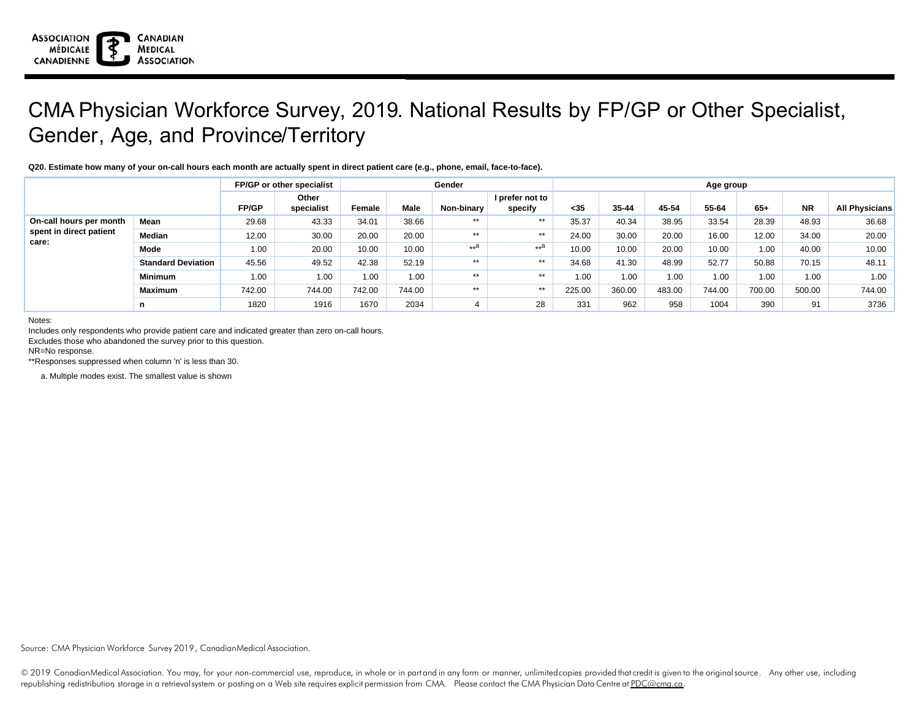## CMA Physician Workforce Survey, 2019. National Results by FP/GP or Other Specialist, Gender, Age, and Province/Territory

## **Q20. Estimate how many of your on-call hours each month are actually spent in direct patient care (e.g., phone, email, face-to-face).**

|                                                             |                           | FP/GP or other specialist |                     |        |        | Gender     | Age group                  |        |        |        |        |        |           |                       |
|-------------------------------------------------------------|---------------------------|---------------------------|---------------------|--------|--------|------------|----------------------------|--------|--------|--------|--------|--------|-----------|-----------------------|
|                                                             |                           | <b>FP/GP</b>              | Other<br>specialist | Female | Male   | Non-binary | I prefer not to<br>specify | $35$   | 35-44  | 45-54  | 55-64  | $65+$  | <b>NR</b> | <b>All Physicians</b> |
| On-call hours per month<br>spent in direct patient<br>care: | <b>Mean</b>               | 29.68                     | 43.33               | 34.01  | 38.66  | $***$      | $***$                      | 35.37  | 40.34  | 38.95  | 33.54  | 28.39  | 48.93     | 36.68                 |
|                                                             | Median                    | 12.00                     | 30.00               | 20.00  | 20.00  | $***$      | $***$                      | 24.00  | 30.00  | 20.00  | 16.00  | 12.00  | 34.00     | 20.00                 |
|                                                             | Mode                      | 1.00                      | 20.00               | 10.00  | 10.00  | $**a$      | $**a$                      | 10.00  | 10.00  | 20.00  | 10.00  | 1.00   | 40.00     | 10.00                 |
|                                                             | <b>Standard Deviation</b> | 45.56                     | 49.52               | 42.38  | 52.19  | $***$      | $***$                      | 34.68  | 41.30  | 48.99  | 52.77  | 50.88  | 70.15     | 48.11                 |
|                                                             | Minimum                   | 1.00                      | 1.00                | 1.00   | 1.00   | $***$      | $***$                      | 1.00   | 1.00   | 1.00   | 1.00   | 1.00   | 1.00      | 1.00                  |
|                                                             | <b>Maximum</b>            | 742.00                    | 744.00              | 742.00 | 744.00 | $***$      | $***$                      | 225.00 | 360.00 | 483.00 | 744.00 | 700.00 | 500.00    | 744.00                |
|                                                             | n                         | 1820                      | 1916                | 1670   | 2034   |            | 28                         | 331    | 962    | 958    | 1004   | 390    | 91        | 3736                  |

Notes:

Includes only respondents who provide patient care and indicated greater than zero on-call hours.

Excludes those who abandoned the survey prior to this question.

NR=No response.

\*\*Responses suppressed when column 'n' is less than 30.

a. Multiple modes exist. The smallest value is shown

Source: CMA Physician Workforce Survey 2019, CanadianMedical Association.